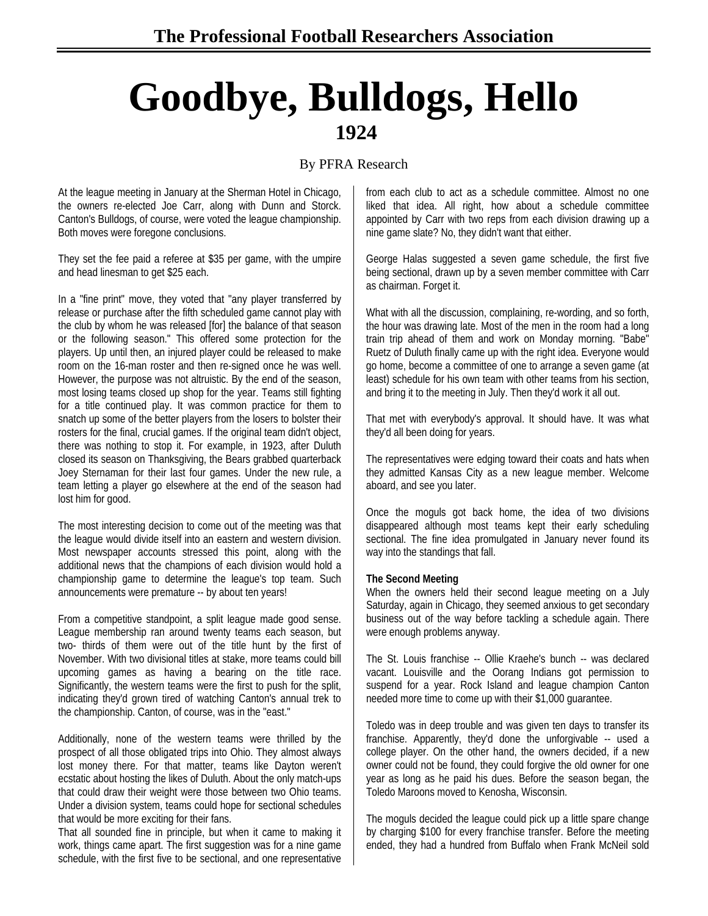# **Goodbye, Bulldogs, Hello 1924**

## By PFRA Research

At the league meeting in January at the Sherman Hotel in Chicago, the owners re-elected Joe Carr, along with Dunn and Storck. Canton's Bulldogs, of course, were voted the league championship. Both moves were foregone conclusions.

They set the fee paid a referee at \$35 per game, with the umpire and head linesman to get \$25 each.

In a "fine print" move, they voted that "any player transferred by release or purchase after the fifth scheduled game cannot play with the club by whom he was released [for] the balance of that season or the following season." This offered some protection for the players. Up until then, an injured player could be released to make room on the 16-man roster and then re-signed once he was well. However, the purpose was not altruistic. By the end of the season, most losing teams closed up shop for the year. Teams still fighting for a title continued play. It was common practice for them to snatch up some of the better players from the losers to bolster their rosters for the final, crucial games. If the original team didn't object, there was nothing to stop it. For example, in 1923, after Duluth closed its season on Thanksgiving, the Bears grabbed quarterback Joey Sternaman for their last four games. Under the new rule, a team letting a player go elsewhere at the end of the season had lost him for good.

The most interesting decision to come out of the meeting was that the league would divide itself into an eastern and western division. Most newspaper accounts stressed this point, along with the additional news that the champions of each division would hold a championship game to determine the league's top team. Such announcements were premature -- by about ten years!

From a competitive standpoint, a split league made good sense. League membership ran around twenty teams each season, but two- thirds of them were out of the title hunt by the first of November. With two divisional titles at stake, more teams could bill upcoming games as having a bearing on the title race. Significantly, the western teams were the first to push for the split, indicating they'd grown tired of watching Canton's annual trek to the championship. Canton, of course, was in the "east."

Additionally, none of the western teams were thrilled by the prospect of all those obligated trips into Ohio. They almost always lost money there. For that matter, teams like Dayton weren't ecstatic about hosting the likes of Duluth. About the only match-ups that could draw their weight were those between two Ohio teams. Under a division system, teams could hope for sectional schedules that would be more exciting for their fans.

That all sounded fine in principle, but when it came to making it work, things came apart. The first suggestion was for a nine game schedule, with the first five to be sectional, and one representative

from each club to act as a schedule committee. Almost no one liked that idea. All right, how about a schedule committee appointed by Carr with two reps from each division drawing up a nine game slate? No, they didn't want that either.

George Halas suggested a seven game schedule, the first five being sectional, drawn up by a seven member committee with Carr as chairman. Forget it.

What with all the discussion, complaining, re-wording, and so forth, the hour was drawing late. Most of the men in the room had a long train trip ahead of them and work on Monday morning. "Babe" Ruetz of Duluth finally came up with the right idea. Everyone would go home, become a committee of one to arrange a seven game (at least) schedule for his own team with other teams from his section, and bring it to the meeting in July. Then they'd work it all out.

That met with everybody's approval. It should have. It was what they'd all been doing for years.

The representatives were edging toward their coats and hats when they admitted Kansas City as a new league member. Welcome aboard, and see you later.

Once the moguls got back home, the idea of two divisions disappeared although most teams kept their early scheduling sectional. The fine idea promulgated in January never found its way into the standings that fall.

#### **The Second Meeting**

When the owners held their second league meeting on a July Saturday, again in Chicago, they seemed anxious to get secondary business out of the way before tackling a schedule again. There were enough problems anyway.

The St. Louis franchise -- Ollie Kraehe's bunch -- was declared vacant. Louisville and the Oorang Indians got permission to suspend for a year. Rock Island and league champion Canton needed more time to come up with their \$1,000 guarantee.

Toledo was in deep trouble and was given ten days to transfer its franchise. Apparently, they'd done the unforgivable -- used a college player. On the other hand, the owners decided, if a new owner could not be found, they could forgive the old owner for one year as long as he paid his dues. Before the season began, the Toledo Maroons moved to Kenosha, Wisconsin.

The moguls decided the league could pick up a little spare change by charging \$100 for every franchise transfer. Before the meeting ended, they had a hundred from Buffalo when Frank McNeil sold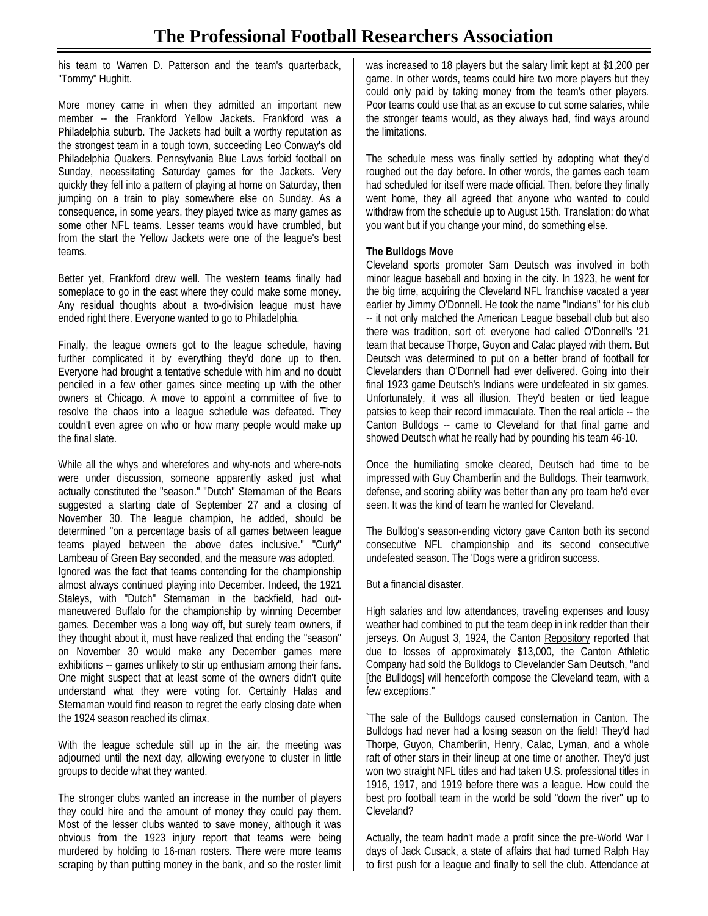his team to Warren D. Patterson and the team's quarterback, "Tommy" Hughitt.

More money came in when they admitted an important new member -- the Frankford Yellow Jackets. Frankford was a Philadelphia suburb. The Jackets had built a worthy reputation as the strongest team in a tough town, succeeding Leo Conway's old Philadelphia Quakers. Pennsylvania Blue Laws forbid football on Sunday, necessitating Saturday games for the Jackets. Very quickly they fell into a pattern of playing at home on Saturday, then jumping on a train to play somewhere else on Sunday. As a consequence, in some years, they played twice as many games as some other NFL teams. Lesser teams would have crumbled, but from the start the Yellow Jackets were one of the league's best teams.

Better yet, Frankford drew well. The western teams finally had someplace to go in the east where they could make some money. Any residual thoughts about a two-division league must have ended right there. Everyone wanted to go to Philadelphia.

Finally, the league owners got to the league schedule, having further complicated it by everything they'd done up to then. Everyone had brought a tentative schedule with him and no doubt penciled in a few other games since meeting up with the other owners at Chicago. A move to appoint a committee of five to resolve the chaos into a league schedule was defeated. They couldn't even agree on who or how many people would make up the final slate.

While all the whys and wherefores and why-nots and where-nots were under discussion, someone apparently asked just what actually constituted the "season." "Dutch" Sternaman of the Bears suggested a starting date of September 27 and a closing of November 30. The league champion, he added, should be determined "on a percentage basis of all games between league teams played between the above dates inclusive." "Curly" Lambeau of Green Bay seconded, and the measure was adopted. Ignored was the fact that teams contending for the championship almost always continued playing into December. Indeed, the 1921 Staleys, with "Dutch" Sternaman in the backfield, had outmaneuvered Buffalo for the championship by winning December games. December was a long way off, but surely team owners, if they thought about it, must have realized that ending the "season" on November 30 would make any December games mere exhibitions -- games unlikely to stir up enthusiam among their fans. One might suspect that at least some of the owners didn't quite understand what they were voting for. Certainly Halas and Sternaman would find reason to regret the early closing date when the 1924 season reached its climax.

With the league schedule still up in the air, the meeting was adjourned until the next day, allowing everyone to cluster in little groups to decide what they wanted.

The stronger clubs wanted an increase in the number of players they could hire and the amount of money they could pay them. Most of the lesser clubs wanted to save money, although it was obvious from the 1923 injury report that teams were being murdered by holding to 16-man rosters. There were more teams scraping by than putting money in the bank, and so the roster limit

was increased to 18 players but the salary limit kept at \$1,200 per game. In other words, teams could hire two more players but they could only paid by taking money from the team's other players. Poor teams could use that as an excuse to cut some salaries, while the stronger teams would, as they always had, find ways around the limitations.

The schedule mess was finally settled by adopting what they'd roughed out the day before. In other words, the games each team had scheduled for itself were made official. Then, before they finally went home, they all agreed that anyone who wanted to could withdraw from the schedule up to August 15th. Translation: do what you want but if you change your mind, do something else.

### **The Bulldogs Move**

Cleveland sports promoter Sam Deutsch was involved in both minor league baseball and boxing in the city. In 1923, he went for the big time, acquiring the Cleveland NFL franchise vacated a year earlier by Jimmy O'Donnell. He took the name "Indians" for his club -- it not only matched the American League baseball club but also there was tradition, sort of: everyone had called O'Donnell's '21 team that because Thorpe, Guyon and Calac played with them. But Deutsch was determined to put on a better brand of football for Clevelanders than O'Donnell had ever delivered. Going into their final 1923 game Deutsch's Indians were undefeated in six games. Unfortunately, it was all illusion. They'd beaten or tied league patsies to keep their record immaculate. Then the real article -- the Canton Bulldogs -- came to Cleveland for that final game and showed Deutsch what he really had by pounding his team 46-10.

Once the humiliating smoke cleared, Deutsch had time to be impressed with Guy Chamberlin and the Bulldogs. Their teamwork, defense, and scoring ability was better than any pro team he'd ever seen. It was the kind of team he wanted for Cleveland.

The Bulldog's season-ending victory gave Canton both its second consecutive NFL championship and its second consecutive undefeated season. The 'Dogs were a gridiron success.

But a financial disaster.

High salaries and low attendances, traveling expenses and lousy weather had combined to put the team deep in ink redder than their jerseys. On August 3, 1924, the Canton Repository reported that due to losses of approximately \$13,000, the Canton Athletic Company had sold the Bulldogs to Clevelander Sam Deutsch, "and [the Bulldogs] will henceforth compose the Cleveland team, with a few exceptions."

`The sale of the Bulldogs caused consternation in Canton. The Bulldogs had never had a losing season on the field! They'd had Thorpe, Guyon, Chamberlin, Henry, Calac, Lyman, and a whole raft of other stars in their lineup at one time or another. They'd just won two straight NFL titles and had taken U.S. professional titles in 1916, 1917, and 1919 before there was a league. How could the best pro football team in the world be sold "down the river" up to Cleveland?

Actually, the team hadn't made a profit since the pre-World War I days of Jack Cusack, a state of affairs that had turned Ralph Hay to first push for a league and finally to sell the club. Attendance at